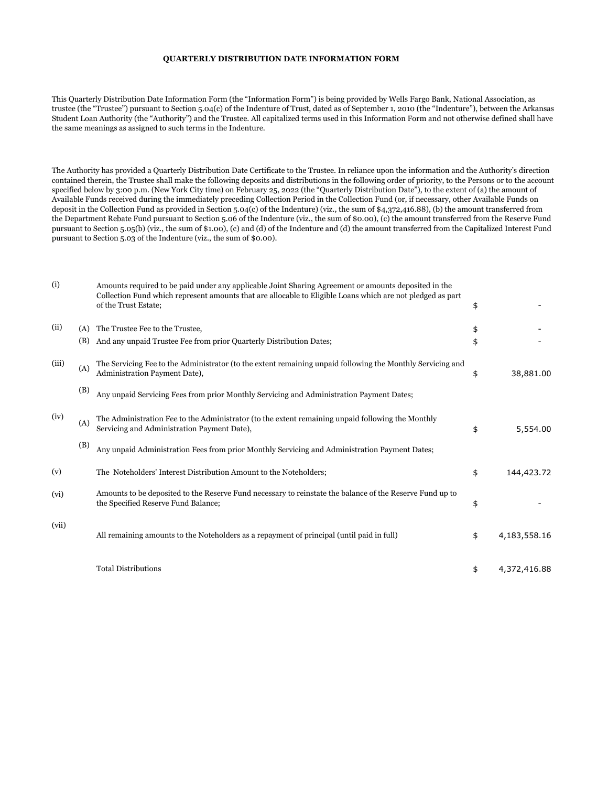## **QUARTERLY DISTRIBUTION DATE INFORMATION FORM**

This Quarterly Distribution Date Information Form (the "Information Form") is being provided by Wells Fargo Bank, National Association, as trustee (the "Trustee") pursuant to Section 5.04(c) of the Indenture of Trust, dated as of September 1, 2010 (the "Indenture"), between the Arkansas Student Loan Authority (the "Authority") and the Trustee. All capitalized terms used in this Information Form and not otherwise defined shall have the same meanings as assigned to such terms in the Indenture.

The Authority has provided a Quarterly Distribution Date Certificate to the Trustee. In reliance upon the information and the Authority's direction contained therein, the Trustee shall make the following deposits and distributions in the following order of priority, to the Persons or to the account specified below by 3:00 p.m. (New York City time) on February 25, 2022 (the "Quarterly Distribution Date"), to the extent of (a) the amount of Available Funds received during the immediately preceding Collection Period in the Collection Fund (or, if necessary, other Available Funds on deposit in the Collection Fund as provided in Section 5.04(c) of the Indenture) (viz., the sum of \$4,372,416.88), (b) the amount transferred from the Department Rebate Fund pursuant to Section 5.06 of the Indenture (viz., the sum of \$0.00), (c) the amount transferred from the Reserve Fund pursuant to Section 5.05(b) (viz., the sum of \$1.00), (c) and (d) of the Indenture and (d) the amount transferred from the Capitalized Interest Fund pursuant to Section 5.03 of the Indenture (viz., the sum of \$0.00).

| (i)   |     | Amounts required to be paid under any applicable Joint Sharing Agreement or amounts deposited in the<br>Collection Fund which represent amounts that are allocable to Eligible Loans which are not pledged as part<br>of the Trust Estate; | \$                 |
|-------|-----|--------------------------------------------------------------------------------------------------------------------------------------------------------------------------------------------------------------------------------------------|--------------------|
| (ii)  | (A) | The Trustee Fee to the Trustee,                                                                                                                                                                                                            | \$                 |
|       | (B) | And any unpaid Trustee Fee from prior Quarterly Distribution Dates;                                                                                                                                                                        | \$                 |
| (iii) | (A) | The Servicing Fee to the Administrator (to the extent remaining unpaid following the Monthly Servicing and<br>Administration Payment Date),                                                                                                | \$<br>38,881.00    |
|       | (B) | Any unpaid Servicing Fees from prior Monthly Servicing and Administration Payment Dates;                                                                                                                                                   |                    |
| (iv)  | (A) | The Administration Fee to the Administrator (to the extent remaining unpaid following the Monthly<br>Servicing and Administration Payment Date),                                                                                           | \$<br>5,554.00     |
|       | (B) | Any unpaid Administration Fees from prior Monthly Servicing and Administration Payment Dates;                                                                                                                                              |                    |
| (v)   |     | The Noteholders' Interest Distribution Amount to the Noteholders;                                                                                                                                                                          | \$<br>144,423.72   |
| (vi)  |     | Amounts to be deposited to the Reserve Fund necessary to reinstate the balance of the Reserve Fund up to<br>the Specified Reserve Fund Balance;                                                                                            | \$                 |
| (vii) |     | All remaining amounts to the Noteholders as a repayment of principal (until paid in full)                                                                                                                                                  | \$<br>4,183,558.16 |
|       |     | <b>Total Distributions</b>                                                                                                                                                                                                                 | \$<br>4,372,416.88 |